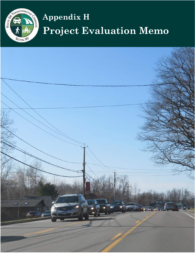

# **Appendix H Project Evaluation Memo**

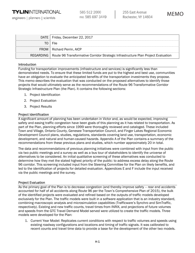engineers | planners | scientists

585 512 2000 FAX: 585 697 3449

| DATE   Friday, December 22, 2017                                                              |
|-----------------------------------------------------------------------------------------------|
| TO   File                                                                                     |
| FROM   Richard Perrin, AICP                                                                   |
| REGARDING   Route 96 Transformative Corridor Strategic Infrastructure Plan Project Evaluation |

#### Introduction

Funding for transportation improvements (infrastructure and services) is significantly less than demonstrated needs. To ensure that these limited funds are put to the highest and best use, communities have an obligation to evaluate the anticipated benefits of the transportation investments they propose. This memo describes the evaluation that was conducted on the proposed alternatives to identify those projects that would ultimately serve as the recommendations of the Route 96 Transformative Corridor Strategic Infrastructure Plan (the Plan). It contains the following sections:

- 1. Project Identification
- 2. Project Evaluation
- 3. Project Results

#### Project Identification

A significant amount of planning has been undertaken in Victor and, as would be expected, improving safety and easing traffic congestion have been goals of this planning as it has related to transportation. As part of the Plan, planning efforts since 1999 were thoroughly reviewed and cataloged. These included Town and Village, Ontario County, Genesee Transportation Council, and Finger Lakes Regional Economic Development Council plans, studies, regulations, standards covering land use, transportation, economic development, and natural and human-caused hazards. Appendix A of the Plan contains a summary of the recommendations from these previous plans and studies, which number approximately 20 in total.

The data and recommendations of previous planning initiatives were combined with input from the public via two public meetings and a survey as well as a bus tour of stakeholders to identify the universe of alternatives to be considered. An initial qualitative screening of these alternatives was conducted to determine how they met the stated highest priority of the public: to address excess delay along the Route 96 corridor. This screening included input from the Steering Committee for the Plan on likely benefits, and led to the identification of projects for detailed evaluation. Appendices E and F include the input received via the public meetings and the survey.

#### Project Evaluation

As the primary goal of the Plan is to decrease congestion (and thereby improve safety – rear end accidents accounted for half of all accidents along Route 96 per the Town's Comprehensive Plan of 2015), the bulk of the identified projects were evaluated and refined based on the outputs of traffic models developed exclusively for the Plan. The traffic models were built in a software application that is an industry standard, combining macroscopic analysis and microsimulation capabilities (Trafficware's Synchro and SimTraffic, respectively). Existing and new traffic counts, travel times from INRIX, and projections of future volumes and speeds from the GTC Travel Demand Model served were utilized to create the traffic models. Three models were developed for the Plan:

1. Current Year Model: Replicates current conditions with respect to traffic volumes and speeds using existing roadway configurations and locations and timing of traffic signals. It was calibrated to recent counts and travel time data to provide a base for the development of the other two models.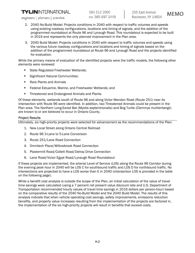## **TYLININTERNATIONAL**

engineers | planners | scientists

- 2. 2040 No-Build Model: Projects conditions in 2040 with respect to traffic volumes and speeds using existing roadway configurations, locations and timing of signals, and the addition of the programmed roundabout at Route 96 and Lynaugh Road. This roundabout is expected to be built in 2019 and represents the only planned improvement in the Plan area.
- 3. 2040 Build Model: Projects conditions in 2040 with respect to traffic volumes and speeds using the various future roadway configurations and locations and timing of signals based on the addition of the programmed roundabout at Route 96 and Lynaugh Road and the projects identified for evaluation.

While the primary means of evaluation of the identified projects were the traffic models, the following other elements were reviewed:

- **State Regulated Freshwater Wetlands;**
- **Significant Natural Communities;**
- Rare Plants and Animals
- **Federal Estuarine, Marine, and Freshwater Wetlands; and**
- **Threatened and Endangered Animals and Plants.**

Of these elements, wetlands south of Route 96 and along Victor Mendon Road (Route 251) near its intersection with Route 96 were identified. In addition, two Threatened Animals could be present in the Plan area. The Northern Long-Eared Bat (Myotis septentrionalis) and Bog Turtle (Clemmys muhlenbergii) are known to or are believed to occur in Ontario County.

#### Project Results

Ultimately, six high-priority projects were selected for advancement as the recommendations of the Plan:

- 1. New Local Street along Ontario Central Railroad
- 2. Route 96 3-Lane to 5-Lane Conversion
- 3. Route 251/Lane Road Connection
- 4. Omnitech Place/Willowbrook Road Connection
- 5. Plastermill Road/Collett Road/Delray Drive Connection
- 6. Lane Road/Victor Egypt Road/Lynaugh Road Roundabout

If these projects are implemented, the arterial Level of Service (LOS) along the Route 96 Corridor during the evening peak hour in 2040 will be LOS C for southbound traffic and LOS D for northbound traffic. No intersections are projected to have a LOS worse than E in 2040 (intersection LOS is provided in the table on the following page).

While a benefit cost analysis is outside the scope of the Plan, an initial calculation of the value of travel time savings were calculated (using a 7 percent net present value discount rate and U.S. Department of Transportation recommended hourly values of travel time savings in 2016 dollars per person-hour) based on the comparative results of the 2040 No-Build Model and the 2040 Build Model. The results of this analysis indicate that when vehicle operating cost savings, safety improvements, emissions reduction benefits, and property value increases resulting from the implementation of the projects are factored in, the implementation of the six high-priority projects will result in benefits that exceed costs.